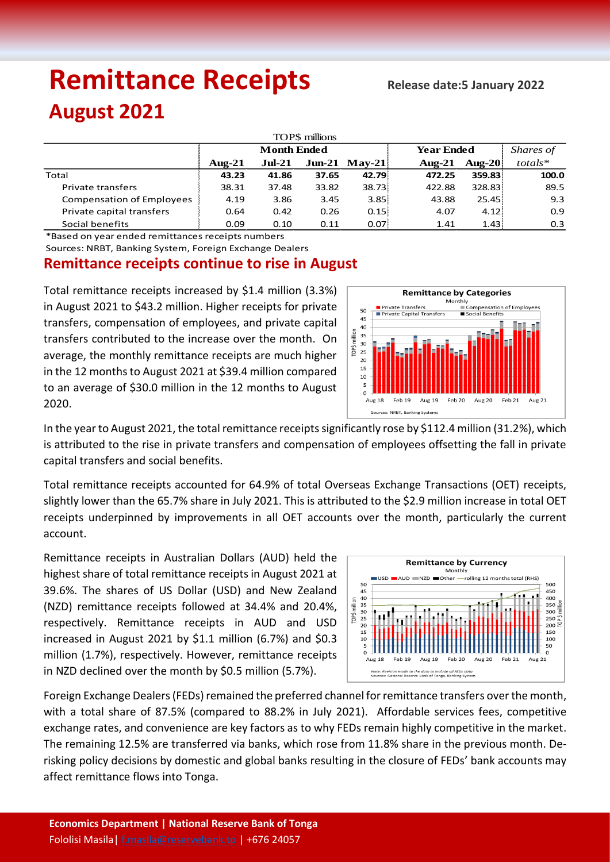# **Remittance Receipts** *Remittance* **Receipts**

## **August 2021**

| TOP\$ millions                   |                    |          |       |                  |                   |           |            |  |  |  |  |
|----------------------------------|--------------------|----------|-------|------------------|-------------------|-----------|------------|--|--|--|--|
|                                  | <b>Month Ended</b> |          |       |                  | <b>Year Ended</b> | Shares of |            |  |  |  |  |
|                                  | Aug- $21$          | $Jul-21$ |       | $J$ un-21 May-21 | Aug- $21$         | Aug-20    | $totals^*$ |  |  |  |  |
| Total                            | 43.23              | 41.86    | 37.65 | 42.79            | 472.25            | 359.83    | 100.0      |  |  |  |  |
| Private transfers                | 38.31              | 37.48    | 33.82 | 38.73            | 422.88            | 328.83    | 89.5       |  |  |  |  |
| <b>Compensation of Employees</b> | 4.19               | 3.86     | 3.45  | 3.85             | 43.88             | 25.45:    | 9.3        |  |  |  |  |
| Private capital transfers        | 0.64               | 0.42     | 0.26  | 0.15             | 4.07              | 4.12:     | 0.9        |  |  |  |  |
| Social benefits                  | 0.09               | 0.10     | 0.11  | 0.07             | 1.41              | 1.43:     | 0.3        |  |  |  |  |

\*Based on year ended remittances receipts numbers

Sources: NRBT, Banking System, Foreign Exchange Dealers

### **Remittance receipts continue to rise in August**

Total remittance receipts increased by \$1.4 million (3.3%) in August 2021 to \$43.2 million. Higher receipts for private transfers, compensation of employees, and private capital transfers contributed to the increase over the month. On average, the monthly remittance receipts are much higher in the 12 months to August 2021 at \$39.4 million compared to an average of \$30.0 million in the 12 months to August 2020.



In the year to August 2021, the total remittance receipts significantly rose by \$112.4 million (31.2%), which is attributed to the rise in private transfers and compensation of employees offsetting the fall in private capital transfers and social benefits.

Total remittance receipts accounted for 64.9% of total Overseas Exchange Transactions (OET) receipts, slightly lower than the 65.7% share in July 2021. This is attributed to the \$2.9 million increase in total OET receipts underpinned by improvements in all OET accounts over the month, particularly the current account.

Remittance receipts in Australian Dollars (AUD) held the highest share of total remittance receipts in August 2021 at 39.6%. The shares of US Dollar (USD) and New Zealand (NZD) remittance receipts followed at 34.4% and 20.4%, respectively. Remittance receipts in AUD and USD increased in August 2021 by \$1.1 million (6.7%) and \$0.3 million (1.7%), respectively. However, remittance receipts in NZD declined over the month by \$0.5 million (5.7%).



Foreign Exchange Dealers (FEDs) remained the preferred channel for remittance transfers over the month, with a total share of 87.5% (compared to 88.2% in July 2021). Affordable services fees, competitive exchange rates, and convenience are key factors as to why FEDs remain highly competitive in the market. The remaining 12.5% are transferred via banks, which rose from 11.8% share in the previous month. Derisking policy decisions by domestic and global banks resulting in the closure of FEDs' bank accounts may affect remittance flows into Tonga.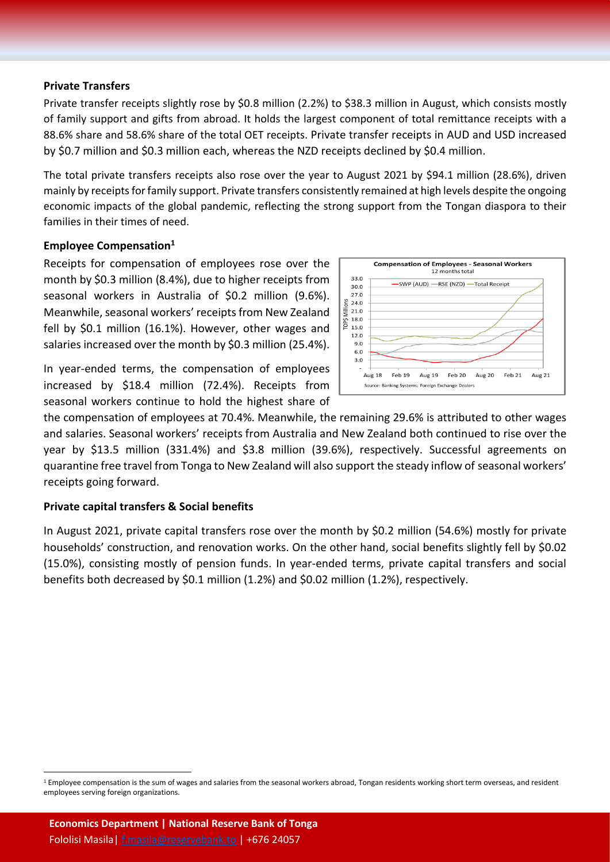#### **Private Transfers**

Private transfer receipts slightly rose by \$0.8 million (2.2%) to \$38.3 million in August, which consists mostly of family support and gifts from abroad. It holds the largest component of total remittance receipts with a 88.6% share and 58.6% share of the total OET receipts. Private transfer receipts in AUD and USD increased by \$0.7 million and \$0.3 million each, whereas the NZD receipts declined by \$0.4 million.

The total private transfers receipts also rose over the year to August 2021 by \$94.1 million (28.6%), driven mainly by receipts for family support. Private transfers consistently remained at high levels despite the ongoing economic impacts of the global pandemic, reflecting the strong support from the Tongan diaspora to their families in their times of need.

#### **Employee Compensation<sup>1</sup>**

Receipts for compensation of employees rose over the month by \$0.3 million (8.4%), due to higher receipts from seasonal workers in Australia of \$0.2 million (9.6%). Meanwhile, seasonal workers' receipts from New Zealand fell by \$0.1 million (16.1%). However, other wages and salaries increased over the month by \$0.3 million (25.4%).

In year-ended terms, the compensation of employees increased by \$18.4 million (72.4%). Receipts from seasonal workers continue to hold the highest share of



the compensation of employees at 70.4%. Meanwhile, the remaining 29.6% is attributed to other wages and salaries. Seasonal workers' receipts from Australia and New Zealand both continued to rise over the year by \$13.5 million (331.4%) and \$3.8 million (39.6%), respectively. Successful agreements on quarantine free travel from Tonga to New Zealand will also support the steady inflow of seasonal workers' receipts going forward.

#### **Private capital transfers & Social benefits**

In August 2021, private capital transfers rose over the month by \$0.2 million (54.6%) mostly for private households' construction, and renovation works. On the other hand, social benefits slightly fell by \$0.02 (15.0%), consisting mostly of pension funds. In year-ended terms, private capital transfers and social benefits both decreased by \$0.1 million (1.2%) and \$0.02 million (1.2%), respectively.

 $\overline{a}$ 

<sup>&</sup>lt;sup>1</sup> Employee compensation is the sum of wages and salaries from the seasonal workers abroad, Tongan residents working short term overseas, and resident employees serving foreign organizations.